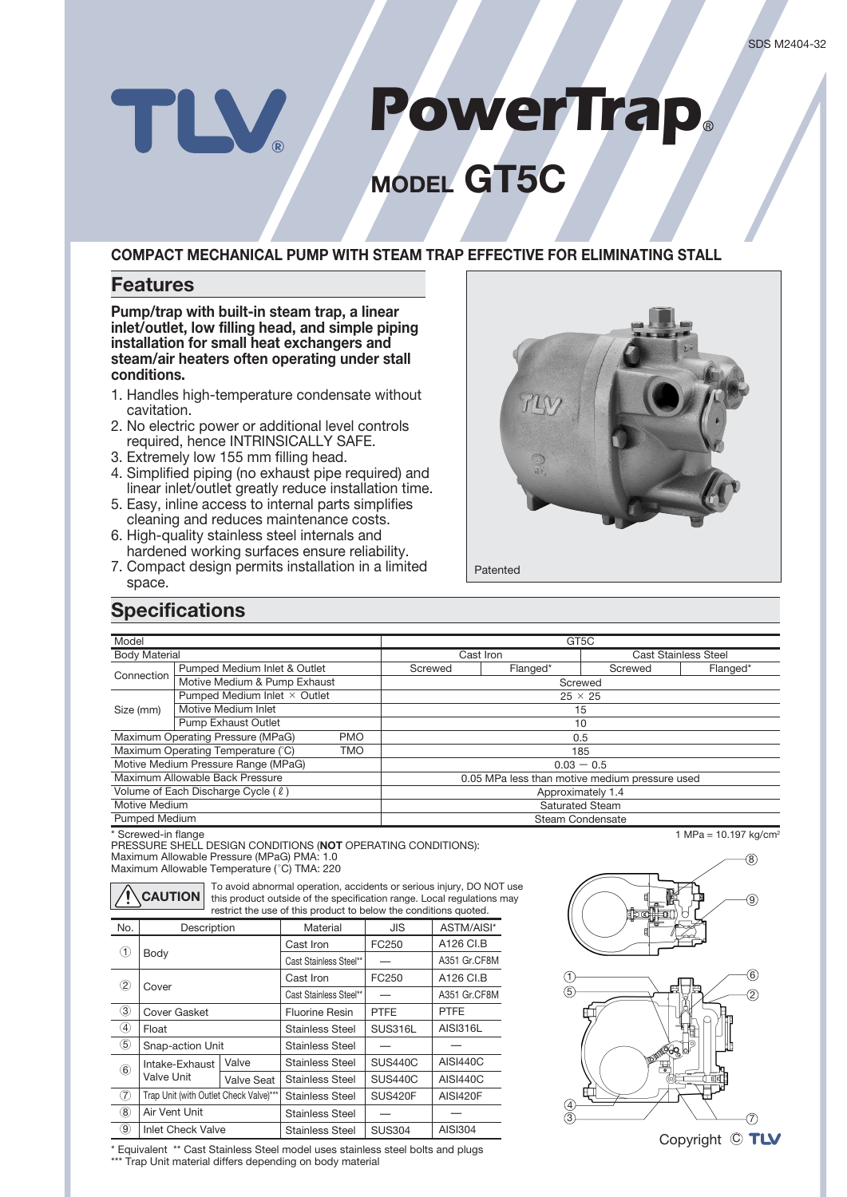# *PowerTrap*TLV. **MODEL GT5C**

### **COMPACT MECHANICAL PUMP WITH STEAM TRAP EFFECTIVE FOR ELIMINATING STALL**

### **Features**

**Pump/trap with built-in steam trap, a linear inlet/outlet, low filling head, and simple piping installation for small heat exchangers and steam/air heaters often operating under stall conditions.**

- 1. Handles high-temperature condensate without cavitation.
- 2. No electric power or additional level controls required, hence INTRINSICALLY SAFE.
- 3. Extremely low 155 mm filling head.
- 4. Simplified piping (no exhaust pipe required) and linear inlet/outlet greatly reduce installation time.
- 5. Easy, inline access to internal parts simplifies cleaning and reduces maintenance costs.
- 6. High-quality stainless steel internals and hardened working surfaces ensure reliability.
- 7. Compact design permits installation in a limited space.



## **Specifications**

| Model                                            |                              |                                                | GT5C                   |                             |         |                       |  |
|--------------------------------------------------|------------------------------|------------------------------------------------|------------------------|-----------------------------|---------|-----------------------|--|
| <b>Body Material</b>                             |                              | Cast Iron                                      |                        | <b>Cast Stainless Steel</b> |         |                       |  |
|                                                  | Pumped Medium Inlet & Outlet |                                                | Screwed                | Flanged*                    | Screwed | Flanged*              |  |
| Connection                                       | Motive Medium & Pump Exhaust |                                                |                        |                             | Screwed |                       |  |
| Size (mm)                                        | Pumped Medium Inlet × Outlet |                                                | $25 \times 25$         |                             |         |                       |  |
|                                                  | Motive Medium Inlet          |                                                | 15                     |                             |         |                       |  |
|                                                  | <b>Pump Exhaust Outlet</b>   |                                                |                        | 10                          |         |                       |  |
| Maximum Operating Pressure (MPaG)<br><b>PMO</b>  |                              | 0.5                                            |                        |                             |         |                       |  |
| Maximum Operating Temperature (°C)<br><b>TMO</b> |                              | 185                                            |                        |                             |         |                       |  |
| Motive Medium Pressure Range (MPaG)              |                              | $0.03 - 0.5$                                   |                        |                             |         |                       |  |
| Maximum Allowable Back Pressure                  |                              | 0.05 MPa less than motive medium pressure used |                        |                             |         |                       |  |
| Volume of Each Discharge Cycle ( $\ell$ )        |                              | Approximately 1.4                              |                        |                             |         |                       |  |
| Motive Medium                                    |                              |                                                | <b>Saturated Steam</b> |                             |         |                       |  |
| Pumped Medium                                    |                              |                                                | Steam Condensate       |                             |         |                       |  |
| * Screwed-in flange                              |                              |                                                |                        |                             |         | 1 MPa = 10.197 kg/cm² |  |

\* Screwed-in flange

PRESSURE SHELL DESIGN CONDITIONS (**NOT** OPERATING CONDITIONS): Maximum Allowable Pressure (MPaG) PMA: 1.0

Maximum Allowable Temperature (°C) TMA: 220

**CAUTION**

To avoid abnormal operation, accidents or serious injury, DO NOT use this product outside of the specification range. Local regulations may restrict the use of this product to below the conditions quoted.

| No.               | Description                            |                   | Material               | <b>JIS</b>     | ASTM/AISI*      |  |  |
|-------------------|----------------------------------------|-------------------|------------------------|----------------|-----------------|--|--|
| $\left( 1\right)$ | Body                                   |                   | Cast Iron              | FC250          | A126 CI.B       |  |  |
|                   |                                        |                   | Cast Stainless Steel** |                | A351 Gr.CF8M    |  |  |
| $\circled{2}$     | Cover                                  |                   | Cast Iron              | FC250          | A126 CI.B       |  |  |
|                   |                                        |                   | Cast Stainless Steel** |                | A351 Gr.CF8M    |  |  |
| 3                 | Cover Gasket                           |                   | <b>Fluorine Resin</b>  | <b>PTFE</b>    | <b>PTFE</b>     |  |  |
| $\left( 4\right)$ | Float                                  |                   | <b>Stainless Steel</b> | SUS316L        | <b>AISI316L</b> |  |  |
| (5)               | Snap-action Unit                       |                   | <b>Stainless Steel</b> |                |                 |  |  |
| $\circledast$     | Intake-Exhaust<br>Valve Unit           | Valve             | <b>Stainless Steel</b> | SUS440C        | AISI440C        |  |  |
|                   |                                        | <b>Valve Seat</b> | <b>Stainless Steel</b> | <b>SUS440C</b> | AISI440C        |  |  |
| (7)               | Trap Unit (with Outlet Check Valve)*** |                   | <b>Stainless Steel</b> | <b>SUS420F</b> | AISI420F        |  |  |
| $\left( 8\right)$ | Air Vent Unit                          |                   | <b>Stainless Steel</b> |                |                 |  |  |
| 9                 | <b>Inlet Check Valve</b>               |                   | <b>Stainless Steel</b> | <b>SUS304</b>  | AISI304         |  |  |



\* Equivalent \*\* Cast Stainless Steel model uses stainless steel bolts and plugs \*\*\* Trap Unit material differs depending on body material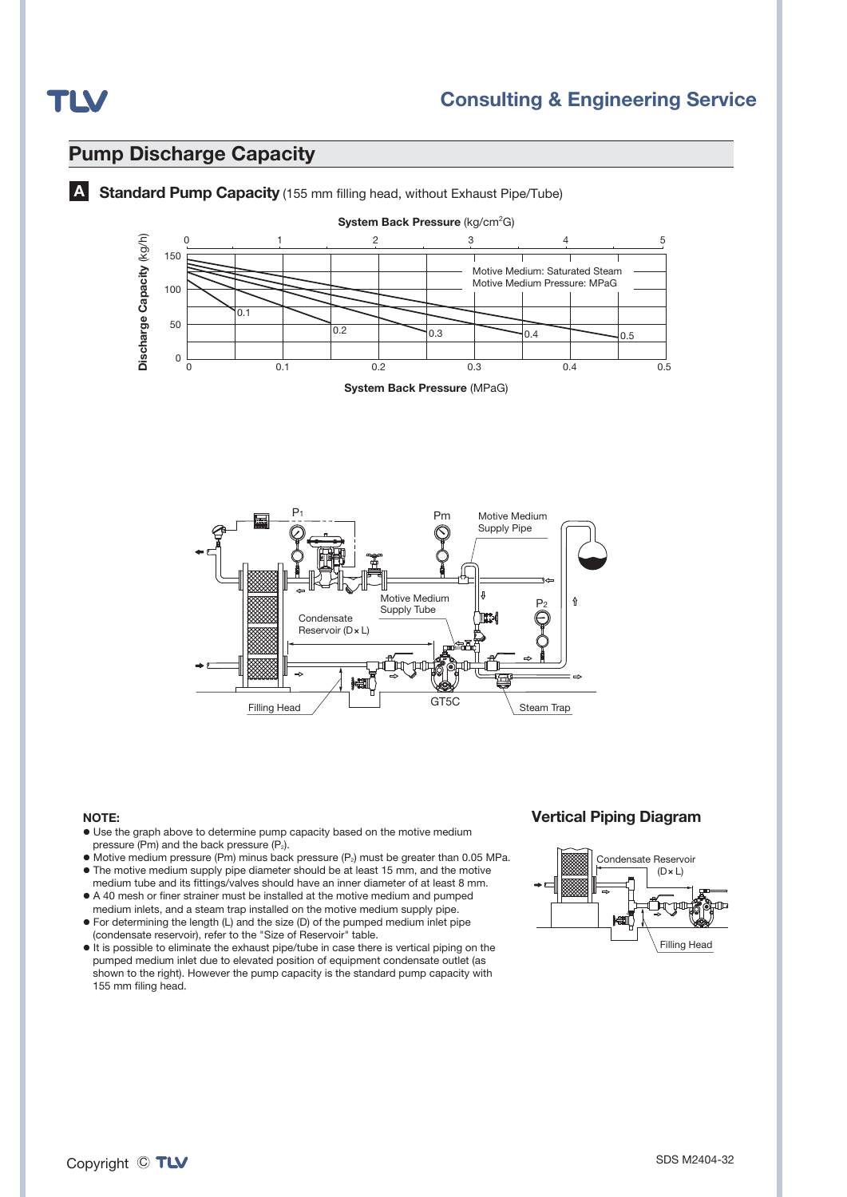## TLV

### **Pump Discharge Capacity**

 **Standard Pump Capacity** (155 mm filling head, without Exhaust Pipe/Tube) **A**





#### **NOTE:**

- Use the graph above to determine pump capacity based on the motive medium pressure (Pm) and the back pressure (P2).
- $\bullet$  Motive medium pressure (Pm) minus back pressure (P<sub>2</sub>) must be greater than 0.05 MPa. • The motive medium supply pipe diameter should be at least 15 mm, and the motive
- medium tube and its fittings/valves should have an inner diameter of at least 8 mm.
- $\bullet$  A 40 mesh or finer strainer must be installed at the motive medium and pumped medium inlets, and a steam trap installed on the motive medium supply pipe.
- For determining the length (L) and the size (D) of the pumped medium inlet pipe (condensate reservoir), refer to the "Size of Reservoir" table.
- $\bullet$  It is possible to eliminate the exhaust pipe/tube in case there is vertical piping on the pumped medium inlet due to elevated position of equipment condensate outlet (as shown to the right). However the pump capacity is the standard pump capacity with 155 mm filing head.

### **Vertical Piping Diagram**

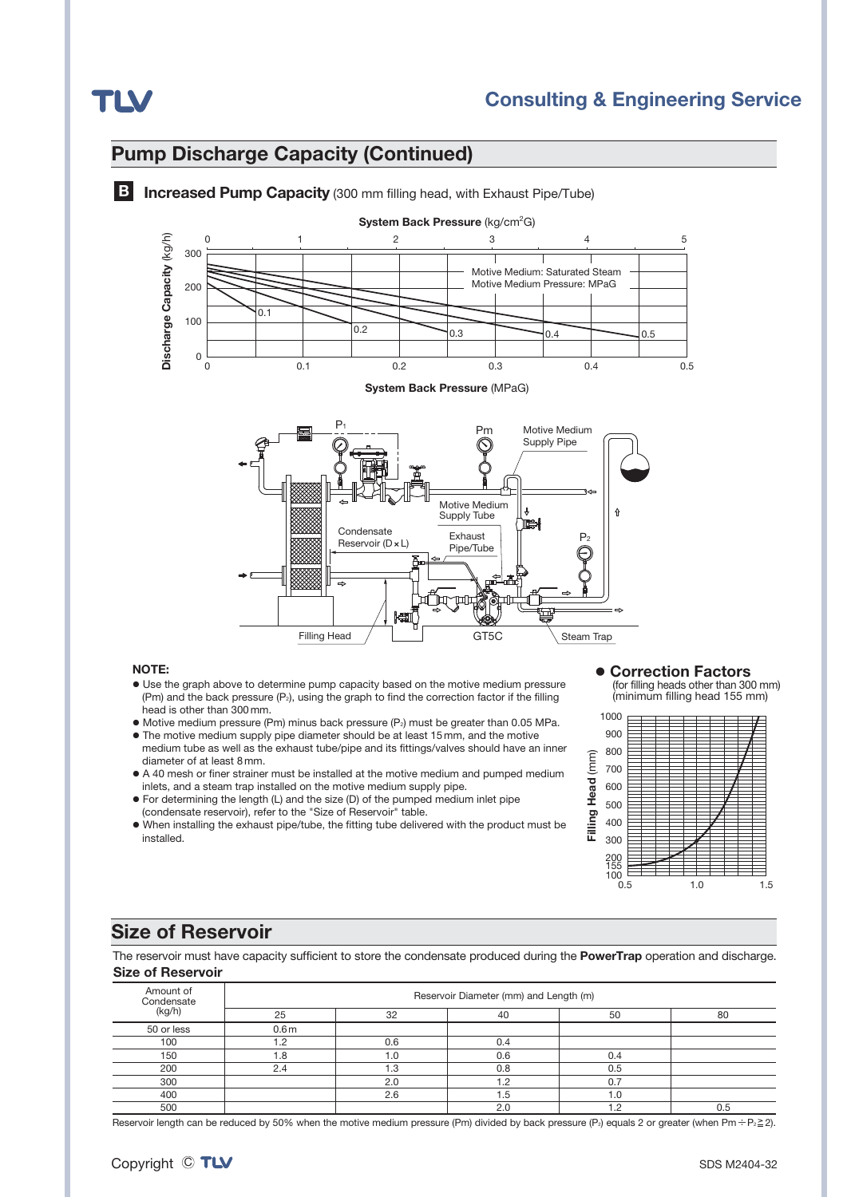## TLV

## **Pump Discharge Capacity (Continued)**

#### **B Increased Pump Capacity** (300 mm filling head, with Exhaust Pipe/Tube)





#### **NOTE:**

- $\bullet$  Use the graph above to determine pump capacity based on the motive medium pressure (Pm) and the back pressure (P<sub>2</sub>), using the graph to find the correction factor if the filling head is other than 300mm.
- $\bullet$  Motive medium pressure (Pm) minus back pressure (P<sub>2</sub>) must be greater than 0.05 MPa.
- $\bullet$  The motive medium supply pipe diameter should be at least 15 mm, and the motive medium tube as well as the exhaust tube/pipe and its fittings/valves should have an inner diameter of at least 8mm.
- $\bullet$  A 40 mesh or finer strainer must be installed at the motive medium and pumped medium inlets, and a steam trap installed on the motive medium supply pipe.
- **•** For determining the length (L) and the size (D) of the pumped medium inlet pipe (condensate reservoir), refer to the "Size of Reservoir" table.
- $\bullet$  When installing the exhaust pipe/tube, the fitting tube delivered with the product must be installed.



 (for filling heads other than 300 mm) (minimum filling head 155 mm)



### **Size of Reservoir**

 **Size of Reservoir** The reservoir must have capacity sufficient to store the condensate produced during the **PowerTrap** operation and discharge.

| Amount of<br>Condensate | Reservoir Diameter (mm) and Length (m) |                |                 |     |    |  |  |
|-------------------------|----------------------------------------|----------------|-----------------|-----|----|--|--|
| (kg/h)                  | 25                                     | 32             | 40              | 50  | 80 |  |  |
| 50 or less              | 0.6 <sub>m</sub>                       |                |                 |     |    |  |  |
| 100                     | ے. ا                                   | 0.6            | 0.4             |     |    |  |  |
| 150                     | .8                                     | .C             | 0.6             | 0.4 |    |  |  |
| 200                     |                                        | 3.،            | 0.8             | 0.5 |    |  |  |
| 300                     |                                        | 2 <sub>c</sub> | .2              | 0.1 |    |  |  |
| 400                     |                                        | 2.6            | .5              |     |    |  |  |
| 500                     |                                        |                | 2. <sub>C</sub> |     |    |  |  |

Reservoir length can be reduced by 50% when the motive medium pressure (Pm) divided by back pressure (P<sub>2</sub>) equals 2 or greater (when Pm ÷ P<sub>2</sub> 2).